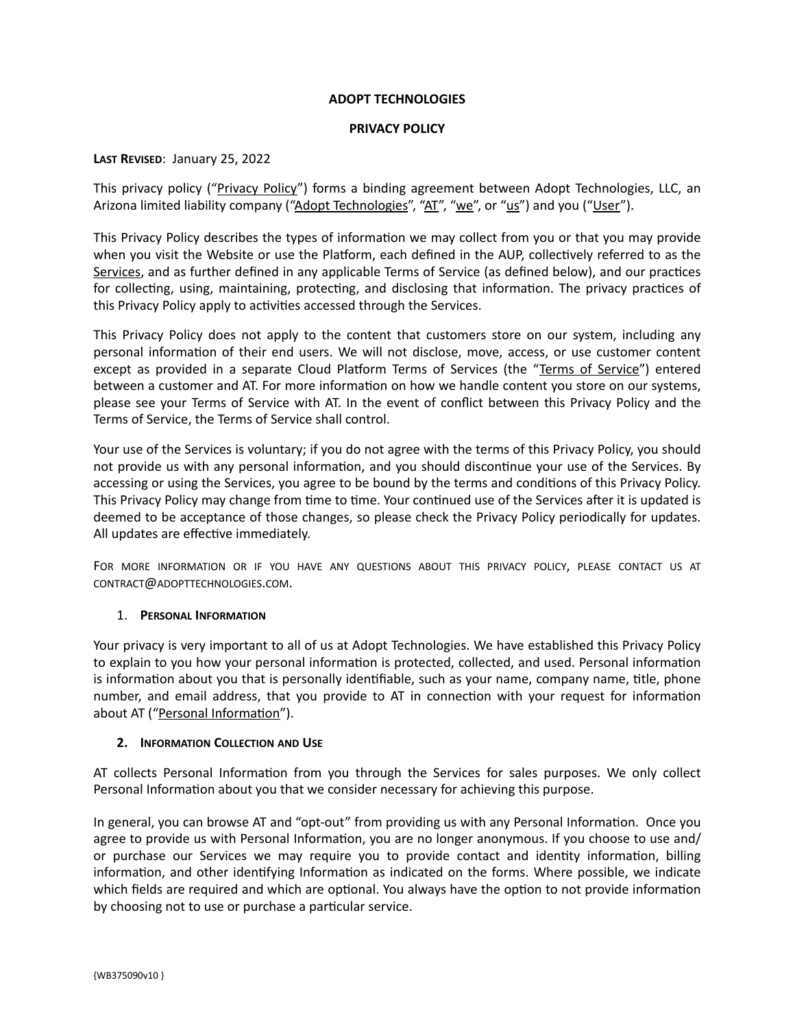## **ADOPT TECHNOLOGIES**

#### **PRIVACY POLICY**

### **LAST REVISED**: January 25, 2022

This privacy policy ("Privacy Policy") forms a binding agreement between Adopt Technologies, LLC, an Arizona limited liability company ("Adopt Technologies", "AT", "we", or "us") and you ("User").

This Privacy Policy describes the types of information we may collect from you or that you may provide when you visit the Website or use the Platform, each defined in the AUP, collectively referred to as the Services, and as further defined in any applicable Terms of Service (as defined below), and our practices for collecting, using, maintaining, protecting, and disclosing that information. The privacy practices of this Privacy Policy apply to activities accessed through the Services.

This Privacy Policy does not apply to the content that customers store on our system, including any personal information of their end users. We will not disclose, move, access, or use customer content except as provided in a separate Cloud Platform Terms of Services (the "Terms of Service") entered between a customer and AT. For more information on how we handle content you store on our systems, please see your Terms of Service with AT. In the event of conflict between this Privacy Policy and the Terms of Service, the Terms of Service shall control.

Your use of the Services is voluntary; if you do not agree with the terms of this Privacy Policy, you should not provide us with any personal information, and you should discontinue your use of the Services. By accessing or using the Services, you agree to be bound by the terms and conditions of this Privacy Policy. This Privacy Policy may change from time to time. Your continued use of the Services after it is updated is deemed to be acceptance of those changes, so please check the Privacy Policy periodically for updates. All updates are effective immediately.

FOR MORE INFORMATION OR IF YOU HAVE ANY QUESTIONS ABOUT THIS PRIVACY POLICY, PLEASE CONTACT US AT CONTRACT@ADOPTTECHNOLOGIES.COM.

#### 1. **PERSONAL INFORMATION**

Your privacy is very important to all of us at Adopt Technologies. We have established this Privacy Policy to explain to you how your personal information is protected, collected, and used. Personal information is information about you that is personally identifiable, such as your name, company name, title, phone number, and email address, that you provide to AT in connection with your request for information about AT ("Personal Information").

# **2. INFORMATION COLLECTION AND USE**

AT collects Personal Information from you through the Services for sales purposes. We only collect Personal Information about you that we consider necessary for achieving this purpose.

In general, you can browse AT and "opt-out" from providing us with any Personal Information. Once you agree to provide us with Personal Information, you are no longer anonymous. If you choose to use and/ or purchase our Services we may require you to provide contact and identity information, billing information, and other identifying Information as indicated on the forms. Where possible, we indicate which fields are required and which are optional. You always have the option to not provide information by choosing not to use or purchase a particular service.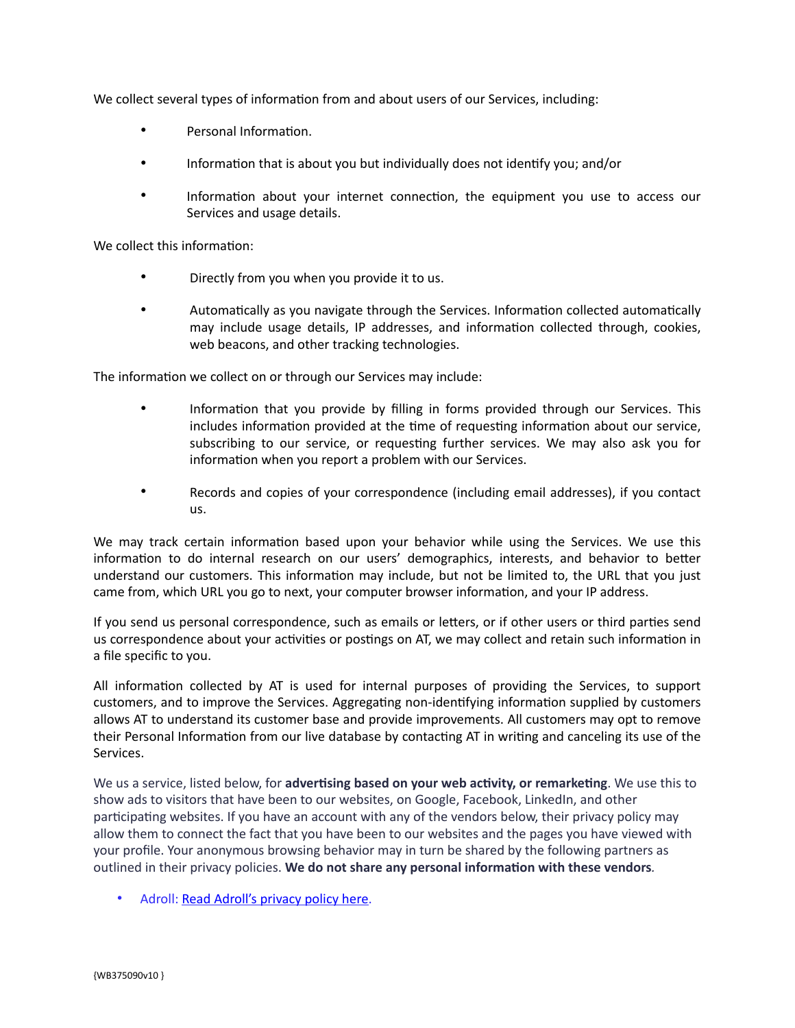We collect several types of information from and about users of our Services, including:

- Personal Information.
- Information that is about you but individually does not identify you; and/or
- Information about your internet connection, the equipment you use to access our Services and usage details.

We collect this information:

- Directly from you when you provide it to us.
- Automatically as you navigate through the Services. Information collected automatically may include usage details, IP addresses, and information collected through, cookies, web beacons, and other tracking technologies.

The information we collect on or through our Services may include:

- Information that you provide by filling in forms provided through our Services. This includes information provided at the time of requesting information about our service, subscribing to our service, or requesting further services. We may also ask you for information when you report a problem with our Services.
- Records and copies of your correspondence (including email addresses), if you contact us.

We may track certain information based upon your behavior while using the Services. We use this information to do internal research on our users' demographics, interests, and behavior to better understand our customers. This information may include, but not be limited to, the URL that you just came from, which URL you go to next, your computer browser information, and your IP address.

If you send us personal correspondence, such as emails or letters, or if other users or third parties send us correspondence about your activities or postings on AT, we may collect and retain such information in a file specific to you.

All information collected by AT is used for internal purposes of providing the Services, to support customers, and to improve the Services. Aggregating non-identifying information supplied by customers allows AT to understand its customer base and provide improvements. All customers may opt to remove their Personal Information from our live database by contacting AT in writing and canceling its use of the Services.

We us a service, listed below, for **advertising based on your web activity, or remarketing**. We use this to show ads to visitors that have been to our websites, on Google, Facebook, LinkedIn, and other participating websites. If you have an account with any of the vendors below, their privacy policy may allow them to connect the fact that you have been to our websites and the pages you have viewed with your profile. Your anonymous browsing behavior may in turn be shared by the following partners as outlined in their privacy policies. **We do not share any personal information with these vendors***.*

• Adroll: [Read Adroll's privacy policy here.](https://www.adroll.com/en-AU/about/privacy)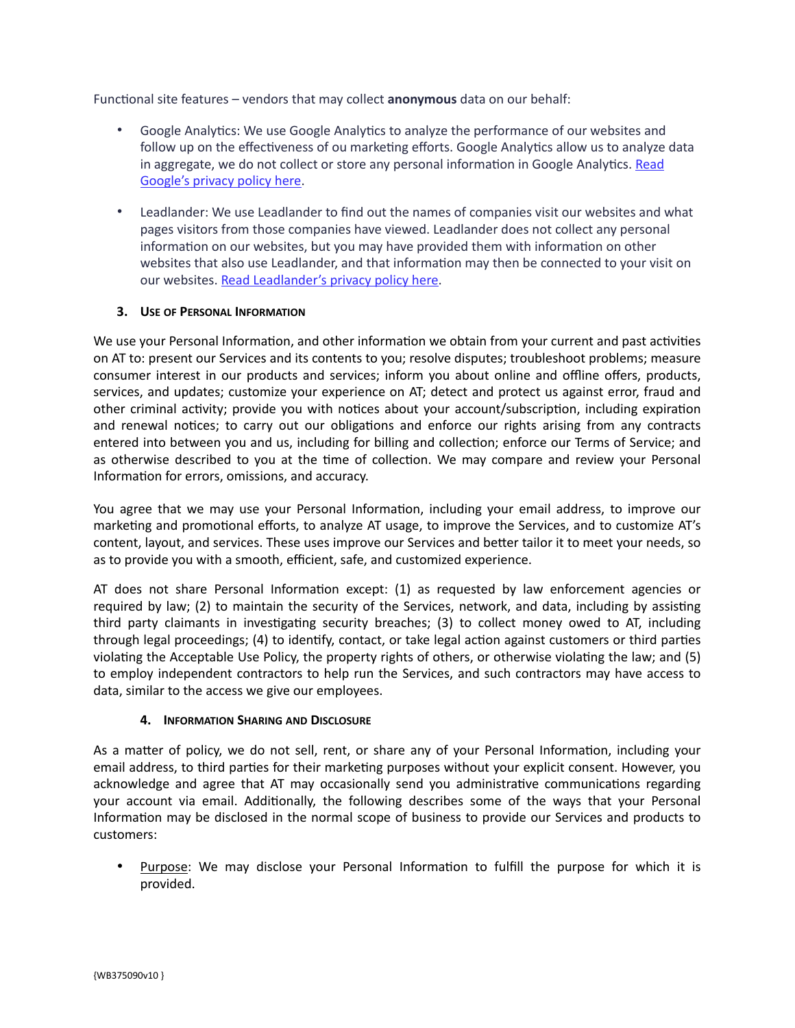Functional site features – vendors that may collect **anonymous** data on our behalf:

- Google Analytics: We use Google Analytics to analyze the performance of our websites and follow up on the effectiveness of ou marketing efforts. Google Analytics allow us to analyze data in aggregate, we do not collect or store any personal information in Google Analytics. Read [Google's privacy policy here](http://www.google.com/intl/en/policies/privacy/).
- Leadlander: We use Leadlander to find out the names of companies visit our websites and what pages visitors from those companies have viewed. Leadlander does not collect any personal information on our websites, but you may have provided them with information on other websites that also use Leadlander, and that information may then be connected to your visit on our websites. [Read Leadlander's privacy policy here.](https://www.leadlander.com/privacy.html)

## **3. USE OF PERSONAL INFORMATION**

We use your Personal Information, and other information we obtain from your current and past activities on AT to: present our Services and its contents to you; resolve disputes; troubleshoot problems; measure consumer interest in our products and services; inform you about online and offline offers, products, services, and updates; customize your experience on AT; detect and protect us against error, fraud and other criminal activity; provide you with notices about your account/subscription, including expiration and renewal notices; to carry out our obligations and enforce our rights arising from any contracts entered into between you and us, including for billing and collection; enforce our Terms of Service; and as otherwise described to you at the time of collection. We may compare and review your Personal Information for errors, omissions, and accuracy.

You agree that we may use your Personal Information, including your email address, to improve our marketing and promotional efforts, to analyze AT usage, to improve the Services, and to customize AT's content, layout, and services. These uses improve our Services and better tailor it to meet your needs, so as to provide you with a smooth, efficient, safe, and customized experience.

AT does not share Personal Information except: (1) as requested by law enforcement agencies or required by law; (2) to maintain the security of the Services, network, and data, including by assisting third party claimants in investigating security breaches; (3) to collect money owed to AT, including through legal proceedings; (4) to identify, contact, or take legal action against customers or third parties violating the Acceptable Use Policy, the property rights of others, or otherwise violating the law; and (5) to employ independent contractors to help run the Services, and such contractors may have access to data, similar to the access we give our employees.

#### **4. INFORMATION SHARING AND DISCLOSURE**

As a matter of policy, we do not sell, rent, or share any of your Personal Information, including your email address, to third parties for their marketing purposes without your explicit consent. However, you acknowledge and agree that AT may occasionally send you administrative communications regarding your account via email. Additionally, the following describes some of the ways that your Personal Information may be disclosed in the normal scope of business to provide our Services and products to customers:

• Purpose: We may disclose your Personal Information to fulfill the purpose for which it is provided.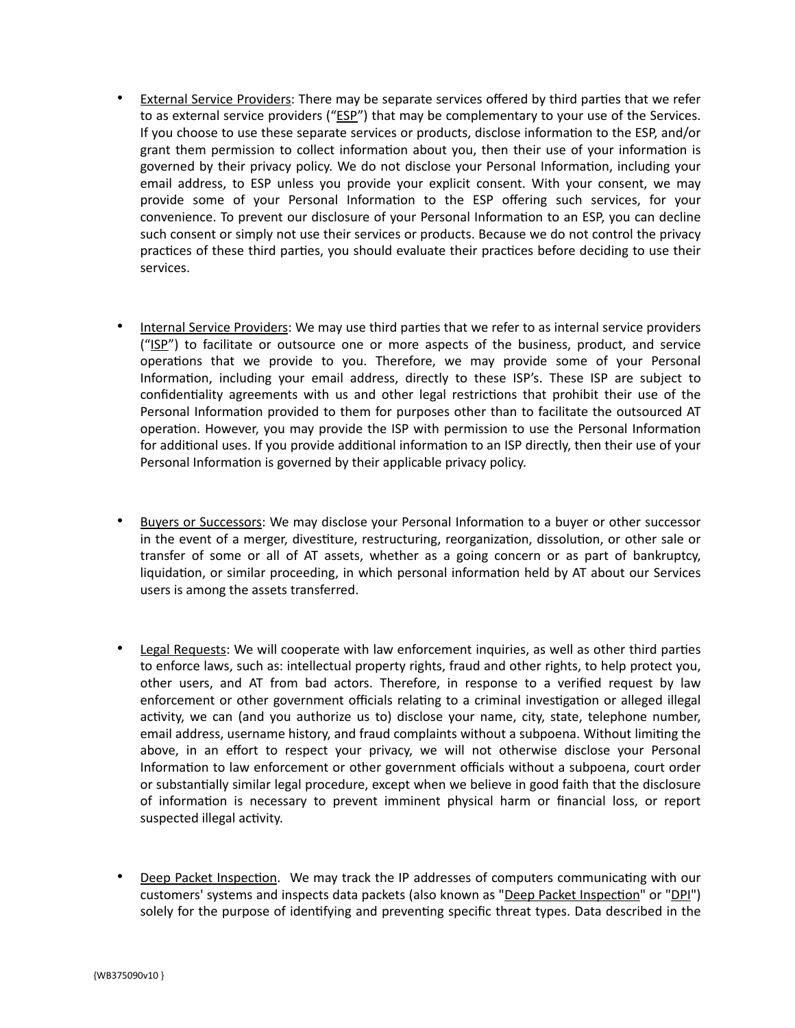- External Service Providers: There may be separate services offered by third parties that we refer to as external service providers ("ESP") that may be complementary to your use of the Services. If you choose to use these separate services or products, disclose information to the ESP, and/or grant them permission to collect information about you, then their use of your information is governed by their privacy policy. We do not disclose your Personal Information, including your email address, to ESP unless you provide your explicit consent. With your consent, we may provide some of your Personal Information to the ESP offering such services, for your convenience. To prevent our disclosure of your Personal Information to an ESP, you can decline such consent or simply not use their services or products. Because we do not control the privacy practices of these third parties, you should evaluate their practices before deciding to use their services.
- Internal Service Providers: We may use third parties that we refer to as internal service providers ("ISP") to facilitate or outsource one or more aspects of the business, product, and service operations that we provide to you. Therefore, we may provide some of your Personal Information, including your email address, directly to these ISP's. These ISP are subject to confidentiality agreements with us and other legal restrictions that prohibit their use of the Personal Information provided to them for purposes other than to facilitate the outsourced AT operation. However, you may provide the ISP with permission to use the Personal Information for additional uses. If you provide additional information to an ISP directly, then their use of your Personal Information is governed by their applicable privacy policy.
- Buyers or Successors: We may disclose your Personal Information to a buyer or other successor in the event of a merger, divestiture, restructuring, reorganization, dissolution, or other sale or transfer of some or all of AT assets, whether as a going concern or as part of bankruptcy, liquidation, or similar proceeding, in which personal information held by AT about our Services users is among the assets transferred.
- Legal Requests: We will cooperate with law enforcement inquiries, as well as other third parties to enforce laws, such as: intellectual property rights, fraud and other rights, to help protect you, other users, and AT from bad actors. Therefore, in response to a verified request by law enforcement or other government officials relating to a criminal investigation or alleged illegal activity, we can (and you authorize us to) disclose your name, city, state, telephone number, email address, username history, and fraud complaints without a subpoena. Without limiting the above, in an effort to respect your privacy, we will not otherwise disclose your Personal Information to law enforcement or other government officials without a subpoena, court order or substantially similar legal procedure, except when we believe in good faith that the disclosure of information is necessary to prevent imminent physical harm or financial loss, or report suspected illegal activity.
- Deep Packet Inspection. We may track the IP addresses of computers communicating with our customers' systems and inspects data packets (also known as "Deep Packet Inspection" or "DPI") solely for the purpose of identifying and preventing specific threat types. Data described in the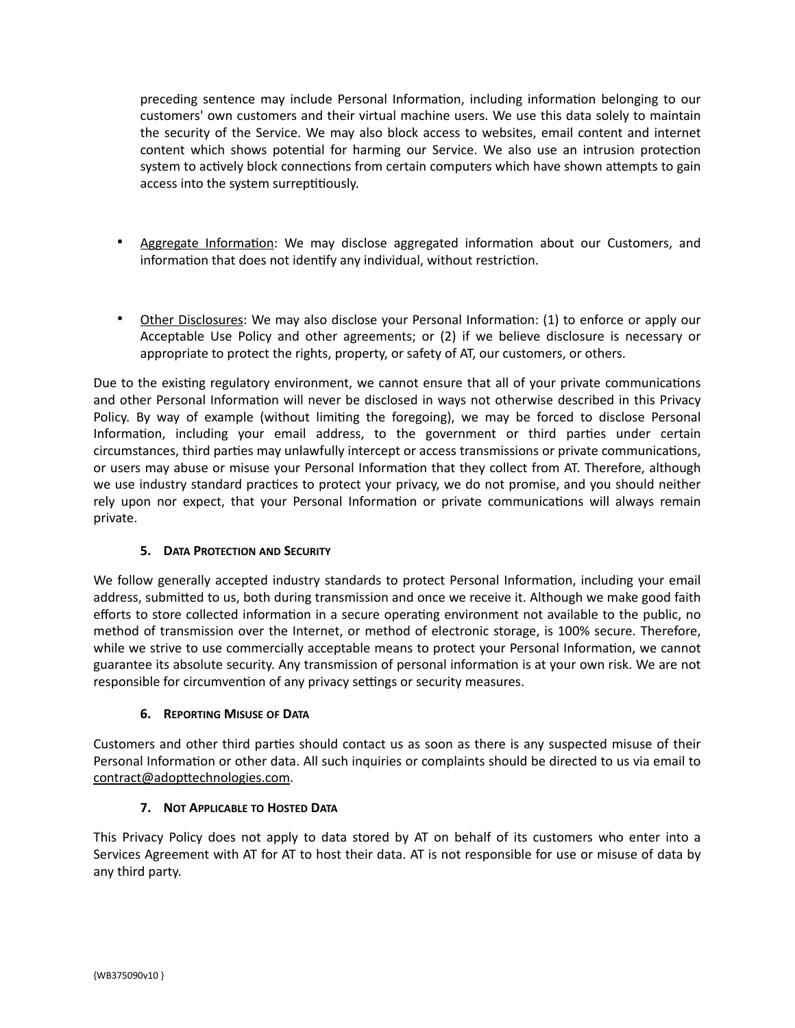preceding sentence may include Personal Information, including information belonging to our customers' own customers and their virtual machine users. We use this data solely to maintain the security of the Service. We may also block access to websites, email content and internet content which shows potential for harming our Service. We also use an intrusion protection system to actively block connections from certain computers which have shown attempts to gain access into the system surreptitiously.

- Aggregate Information: We may disclose aggregated information about our Customers, and information that does not identify any individual, without restriction.
- Other Disclosures: We may also disclose your Personal Information: (1) to enforce or apply our Acceptable Use Policy and other agreements; or (2) if we believe disclosure is necessary or appropriate to protect the rights, property, or safety of AT, our customers, or others.

Due to the existing regulatory environment, we cannot ensure that all of your private communications and other Personal Information will never be disclosed in ways not otherwise described in this Privacy Policy. By way of example (without limiting the foregoing), we may be forced to disclose Personal Information, including your email address, to the government or third parties under certain circumstances, third parties may unlawfully intercept or access transmissions or private communications, or users may abuse or misuse your Personal Information that they collect from AT. Therefore, although we use industry standard practices to protect your privacy, we do not promise, and you should neither rely upon nor expect, that your Personal Information or private communications will always remain private.

# **5. DATA PROTECTION AND SECURITY**

We follow generally accepted industry standards to protect Personal Information, including your email address, submitted to us, both during transmission and once we receive it. Although we make good faith efforts to store collected information in a secure operating environment not available to the public, no method of transmission over the Internet, or method of electronic storage, is 100% secure. Therefore, while we strive to use commercially acceptable means to protect your Personal Information, we cannot guarantee its absolute security. Any transmission of personal information is at your own risk. We are not responsible for circumvention of any privacy settings or security measures.

# **6. REPORTING MISUSE OF DATA**

Customers and other third parties should contact us as soon as there is any suspected misuse of their Personal Information or other data. All such inquiries or complaints should be directed to us via email to contract@adopttechnologies.com.

# **7. NOT APPLICABLE TO HOSTED DATA**

This Privacy Policy does not apply to data stored by AT on behalf of its customers who enter into a Services Agreement with AT for AT to host their data. AT is not responsible for use or misuse of data by any third party.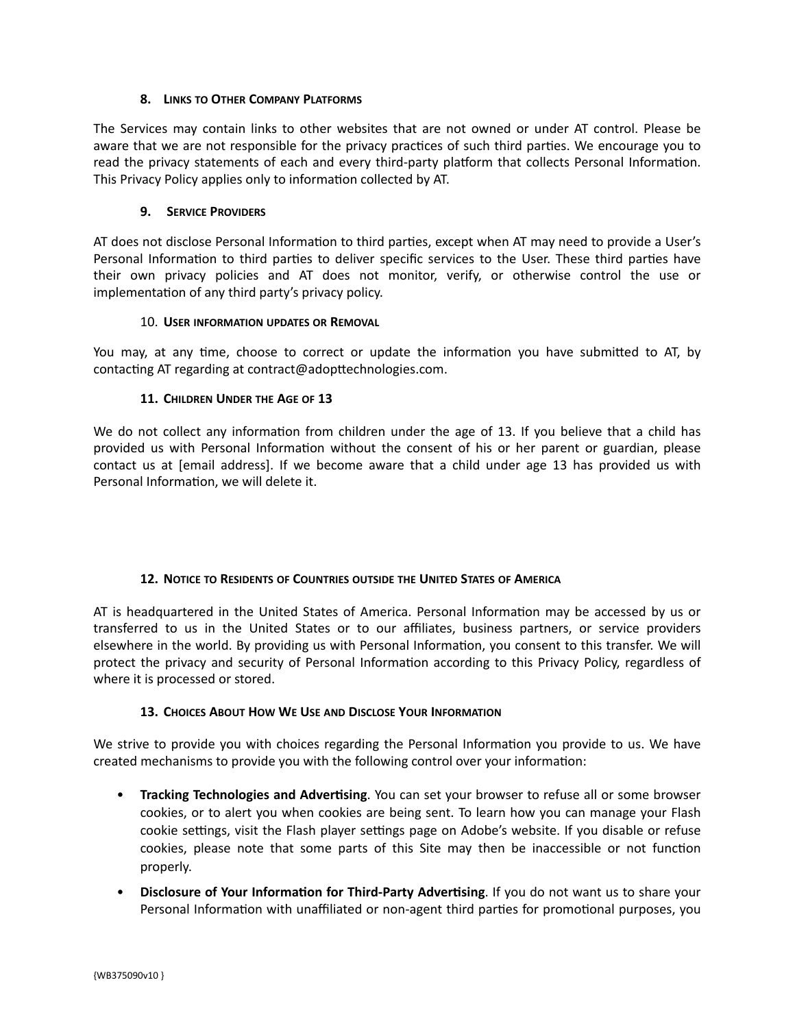# **8. LINKS TO OTHER COMPANY PLATFORMS**

The Services may contain links to other websites that are not owned or under AT control. Please be aware that we are not responsible for the privacy practices of such third parties. We encourage you to read the privacy statements of each and every third-party platform that collects Personal Information. This Privacy Policy applies only to information collected by AT.

## **9. SERVICE PROVIDERS**

AT does not disclose Personal Information to third parties, except when AT may need to provide a User's Personal Information to third parties to deliver specific services to the User. These third parties have their own privacy policies and AT does not monitor, verify, or otherwise control the use or implementation of any third party's privacy policy.

## 10. **USER INFORMATION UPDATES OR REMOVAL**

You may, at any time, choose to correct or update the information you have submitted to AT, by contacting AT regarding at contract@adopttechnologies.com.

# **11. CHILDREN UNDER THE AGE OF 13**

We do not collect any information from children under the age of 13. If you believe that a child has provided us with Personal Information without the consent of his or her parent or guardian, please contact us at [email address]. If we become aware that a child under age 13 has provided us with Personal Information, we will delete it.

#### **12. NOTICE TO RESIDENTS OF COUNTRIES OUTSIDE THE UNITED STATES OF AMERICA**

AT is headquartered in the United States of America. Personal Information may be accessed by us or transferred to us in the United States or to our affiliates, business partners, or service providers elsewhere in the world. By providing us with Personal Information, you consent to this transfer. We will protect the privacy and security of Personal Information according to this Privacy Policy, regardless of where it is processed or stored.

# **13. CHOICES ABOUT HOW WE USE AND DISCLOSE YOUR INFORMATION**

We strive to provide you with choices regarding the Personal Information you provide to us. We have created mechanisms to provide you with the following control over your information:

- **Tracking Technologies and Advertising**. You can set your browser to refuse all or some browser cookies, or to alert you when cookies are being sent. To learn how you can manage your Flash cookie settings, visit the Flash player settings page on Adobe's website. If you disable or refuse cookies, please note that some parts of this Site may then be inaccessible or not function properly.
- **Disclosure of Your Information for Third-Party Advertising**. If you do not want us to share your Personal Information with unaffiliated or non-agent third parties for promotional purposes, you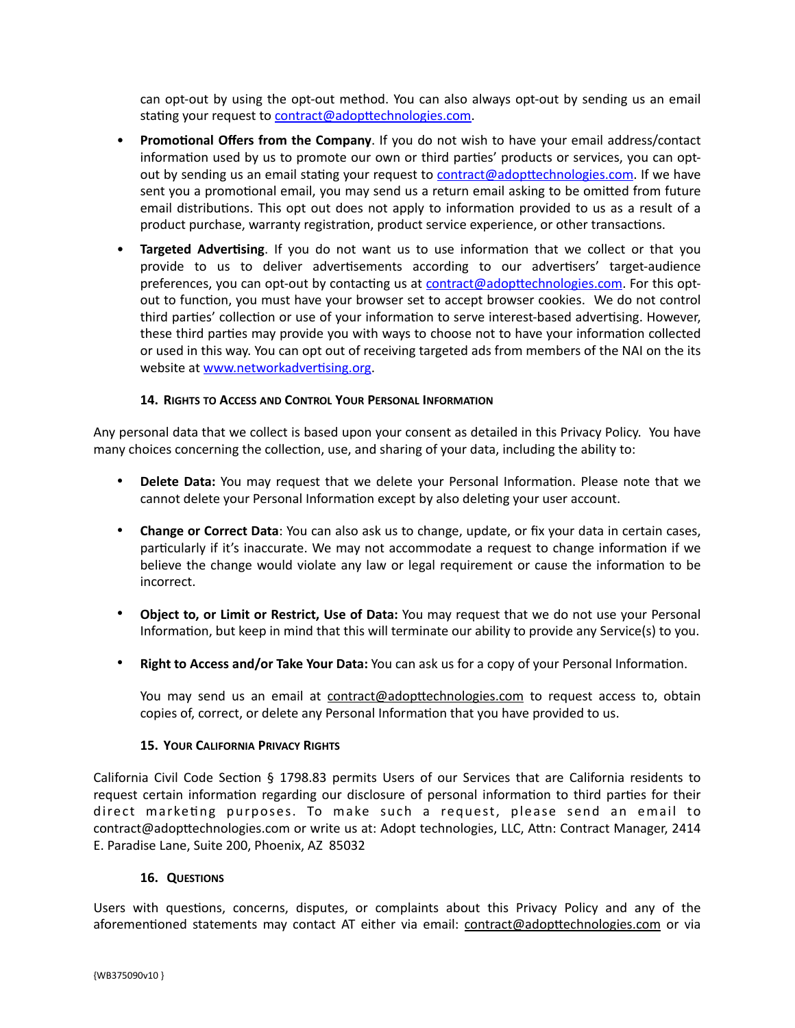can opt-out by using the opt-out method. You can also always opt-out by sending us an email stating your request to [contract@adopttechnologies.com](mailto:contract@adopttechnologies.com).

- **Promotional Offers from the Company**. If you do not wish to have your email address/contact information used by us to promote our own or third parties' products or services, you can optout by sending us an email stating your request to [contract@adopttechnologies.com](mailto:contract@adopttechnologies.com). If we have sent you a promotional email, you may send us a return email asking to be omitted from future email distributions. This opt out does not apply to information provided to us as a result of a product purchase, warranty registration, product service experience, or other transactions.
- **Targeted Advertising**. If you do not want us to use information that we collect or that you provide to us to deliver advertisements according to our advertisers' target-audience preferences, you can opt-out by contacting us at [contract@adopttechnologies.com.](mailto:contract@adopttechnologies.com) For this optout to function, you must have your browser set to accept browser cookies. We do not control third parties' collection or use of your information to serve interest-based advertising. However, these third parties may provide you with ways to choose not to have your information collected or used in this way. You can opt out of receiving targeted ads from members of the NAI on the its website at [www.networkadvertising.org](http://www.networkadvertising.org).

## **14. RIGHTS TO ACCESS AND CONTROL YOUR PERSONAL INFORMATION**

Any personal data that we collect is based upon your consent as detailed in this Privacy Policy. You have many choices concerning the collection, use, and sharing of your data, including the ability to:

- **Delete Data:** You may request that we delete your Personal Information. Please note that we cannot delete your Personal Information except by also deleting your user account.
- **Change or Correct Data**: You can also ask us to change, update, or fix your data in certain cases, particularly if it's inaccurate. We may not accommodate a request to change information if we believe the change would violate any law or legal requirement or cause the information to be incorrect.
- **Object to, or Limit or Restrict, Use of Data:** You may request that we do not use your Personal Information, but keep in mind that this will terminate our ability to provide any Service(s) to you.
- **Right to Access and/or Take Your Data:** You can ask us for a copy of your Personal Information.

You may send us an email at contract@adopttechnologies.com to request access to, obtain copies of, correct, or delete any Personal Information that you have provided to us.

#### **15. YOUR CALIFORNIA PRIVACY RIGHTS**

California Civil Code Section § 1798.83 permits Users of our Services that are California residents to request certain information regarding our disclosure of personal information to third parties for their direct marketing purposes. To make such a request, please send an email to contract@adopttechnologies.com or write us at: Adopt technologies, LLC, Attn: Contract Manager, 2414 E. Paradise Lane, Suite 200, Phoenix, AZ 85032

# **16. QUESTIONS**

Users with questions, concerns, disputes, or complaints about this Privacy Policy and any of the aforementioned statements may contact AT either via email: contract@adopttechnologies.com or via